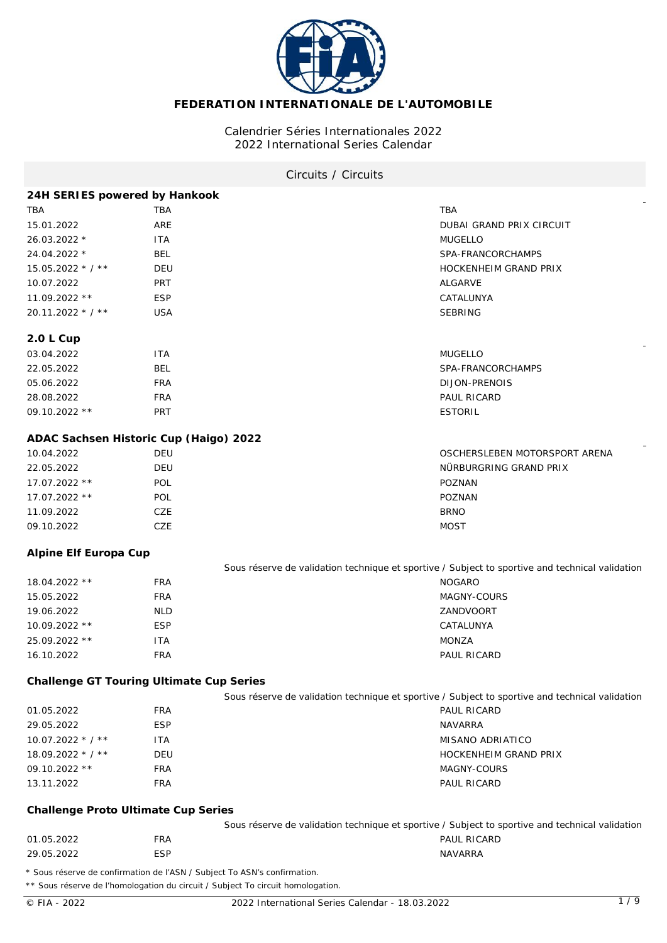

# **FEDERATION INTERNATIONALE DE L'AUTOMOBILE**

## Calendrier Séries Internationales 2022 2022 International Series Calendar

## Circuits / Circuits

| 24H SERIES powered by Hankook            |                                                                                                                                                             |                                                                                                 |
|------------------------------------------|-------------------------------------------------------------------------------------------------------------------------------------------------------------|-------------------------------------------------------------------------------------------------|
| <b>TBA</b>                               | TBA                                                                                                                                                         | TBA                                                                                             |
| 15.01.2022                               | ARE                                                                                                                                                         | DUBAI GRAND PRIX CIRCUIT                                                                        |
| 26.03.2022 *                             | <b>ITA</b>                                                                                                                                                  | <b>MUGELLO</b>                                                                                  |
| 24.04.2022 *                             | <b>BEL</b>                                                                                                                                                  | SPA-FRANCORCHAMPS                                                                               |
| 15.05.2022 * / **                        | DEU                                                                                                                                                         | HOCKENHEIM GRAND PRIX                                                                           |
| 10.07.2022                               | <b>PRT</b>                                                                                                                                                  | ALGARVE                                                                                         |
| 11.09.2022 **                            | <b>ESP</b>                                                                                                                                                  | CATALUNYA                                                                                       |
| 20.11.2022 * / **                        | <b>USA</b>                                                                                                                                                  | <b>SEBRING</b>                                                                                  |
|                                          |                                                                                                                                                             |                                                                                                 |
| 2.0 L Cup<br>03.04.2022                  |                                                                                                                                                             | <b>MUGELLO</b>                                                                                  |
|                                          | <b>ITA</b>                                                                                                                                                  |                                                                                                 |
| 22.05.2022                               | <b>BEL</b>                                                                                                                                                  | SPA-FRANCORCHAMPS                                                                               |
| 05.06.2022                               | <b>FRA</b>                                                                                                                                                  | DIJON-PRENOIS                                                                                   |
| 28.08.2022                               | <b>FRA</b>                                                                                                                                                  | PAUL RICARD                                                                                     |
| 09.10.2022 **                            | PRT                                                                                                                                                         | <b>ESTORIL</b>                                                                                  |
| ADAC Sachsen Historic Cup (Haigo) 2022   |                                                                                                                                                             |                                                                                                 |
| 10.04.2022                               | <b>DEU</b>                                                                                                                                                  | OSCHERSLEBEN MOTORSPORT ARENA                                                                   |
| 22.05.2022                               | DEU                                                                                                                                                         | NÜRBURGRING GRAND PRIX                                                                          |
| 17.07.2022 **                            | <b>POL</b>                                                                                                                                                  | POZNAN                                                                                          |
| 17.07.2022 **                            | POL                                                                                                                                                         | POZNAN                                                                                          |
| 11.09.2022                               | CZE                                                                                                                                                         | <b>BRNO</b>                                                                                     |
| 09.10.2022                               | CZE                                                                                                                                                         | <b>MOST</b>                                                                                     |
| Alpine Elf Europa Cup                    |                                                                                                                                                             |                                                                                                 |
|                                          |                                                                                                                                                             | Sous réserve de validation technique et sportive / Subject to sportive and technical validation |
| 18.04.2022 **                            | <b>FRA</b>                                                                                                                                                  | <b>NOGARO</b>                                                                                   |
| 15.05.2022                               | <b>FRA</b>                                                                                                                                                  | MAGNY-COURS                                                                                     |
| 19.06.2022                               | <b>NLD</b>                                                                                                                                                  | ZANDVOORT                                                                                       |
| 10.09.2022 **                            | <b>ESP</b>                                                                                                                                                  | CATALUNYA                                                                                       |
| 25.09.2022 **                            | <b>ITA</b>                                                                                                                                                  | MONZA                                                                                           |
| 16.10.2022                               | <b>FRA</b>                                                                                                                                                  | PAUL RICARD                                                                                     |
| Challenge GT Touring Ultimate Cup Series |                                                                                                                                                             |                                                                                                 |
|                                          |                                                                                                                                                             | Sous réserve de validation technique et sportive / Subject to sportive and technical validation |
| 01.05.2022                               | <b>FRA</b>                                                                                                                                                  | PAUL RICARD                                                                                     |
| 29.05.2022                               | <b>ESP</b>                                                                                                                                                  | <b>NAVARRA</b>                                                                                  |
| 10.07.2022 * / **                        | <b>ITA</b>                                                                                                                                                  | MISANO ADRIATICO                                                                                |
| 18.09.2022 * / **                        | DEU                                                                                                                                                         | HOCKENHEIM GRAND PRIX                                                                           |
| 09.10.2022 **                            | <b>FRA</b>                                                                                                                                                  | MAGNY-COURS                                                                                     |
| 13.11.2022                               | <b>FRA</b>                                                                                                                                                  | PAUL RICARD                                                                                     |
| Challenge Proto Ultimate Cup Series      |                                                                                                                                                             |                                                                                                 |
|                                          |                                                                                                                                                             | Sous réserve de validation technique et sportive / Subject to sportive and technical validation |
| 01.05.2022                               | <b>FRA</b>                                                                                                                                                  | PAUL RICARD                                                                                     |
| 29.05.2022                               | <b>ESP</b>                                                                                                                                                  | NAVARRA                                                                                         |
|                                          | * Sous réserve de confirmation de l'ASN / Subject To ASN's confirmation.<br>** Sous réserve de l'homologation du circuit / Subject To circuit homologation. |                                                                                                 |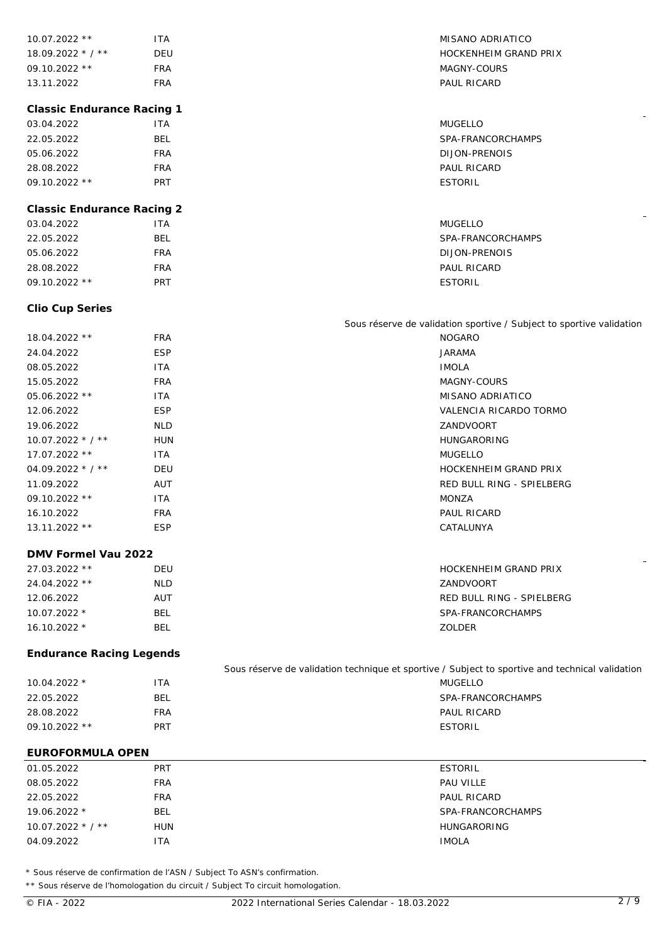| 10.07.2022 **                     | <b>ITA</b> | MISANO ADRIATICO                                                                                |
|-----------------------------------|------------|-------------------------------------------------------------------------------------------------|
| 18.09.2022 * / **                 | <b>DEU</b> | HOCKENHEIM GRAND PRIX                                                                           |
| 09.10.2022 **                     | <b>FRA</b> | MAGNY-COURS                                                                                     |
| 13.11.2022                        | <b>FRA</b> | PAUL RICARD                                                                                     |
|                                   |            |                                                                                                 |
| <b>Classic Endurance Racing 1</b> |            |                                                                                                 |
| 03.04.2022                        | <b>ITA</b> | <b>MUGELLO</b>                                                                                  |
| 22.05.2022                        | <b>BEL</b> | SPA-FRANCORCHAMPS                                                                               |
| 05.06.2022                        | <b>FRA</b> | <b>DIJON-PRENOIS</b>                                                                            |
| 28.08.2022                        | <b>FRA</b> | PAUL RICARD                                                                                     |
| 09.10.2022 **                     | <b>PRT</b> | <b>ESTORIL</b>                                                                                  |
| <b>Classic Endurance Racing 2</b> |            |                                                                                                 |
| 03.04.2022                        | <b>ITA</b> | <b>MUGELLO</b>                                                                                  |
| 22.05.2022                        | <b>BEL</b> | SPA-FRANCORCHAMPS                                                                               |
| 05.06.2022                        | <b>FRA</b> | DIJON-PRENOIS                                                                                   |
| 28.08.2022                        | <b>FRA</b> | PAUL RICARD                                                                                     |
| 09.10.2022 **                     | PRT        | <b>ESTORIL</b>                                                                                  |
|                                   |            |                                                                                                 |
| Clio Cup Series                   |            |                                                                                                 |
|                                   |            | Sous réserve de validation sportive / Subject to sportive validation                            |
| 18.04.2022 **                     | <b>FRA</b> | <b>NOGARO</b>                                                                                   |
| 24.04.2022                        | <b>ESP</b> | <b>JARAMA</b>                                                                                   |
| 08.05.2022                        | <b>ITA</b> | <b>IMOLA</b>                                                                                    |
| 15.05.2022                        | <b>FRA</b> | MAGNY-COURS                                                                                     |
| 05.06.2022 **                     | <b>ITA</b> | MISANO ADRIATICO                                                                                |
| 12.06.2022                        | <b>ESP</b> | VALENCIA RICARDO TORMO                                                                          |
| 19.06.2022                        | <b>NLD</b> | ZANDVOORT                                                                                       |
| $10.07.2022 * 7 * *$              | <b>HUN</b> | HUNGARORING                                                                                     |
| 17.07.2022 **                     | <b>ITA</b> | <b>MUGELLO</b>                                                                                  |
| 04.09.2022 * / **                 | DEU        | <b>HOCKENHEIM GRAND PRIX</b>                                                                    |
| 11.09.2022                        | AUT        | RED BULL RING - SPIELBERG                                                                       |
| 09.10.2022 **                     | <b>ITA</b> | MONZA                                                                                           |
| 16.10.2022                        | <b>FRA</b> | PAUL RICARD                                                                                     |
| 13.11.2022 **                     | <b>ESP</b> | CATALUNYA                                                                                       |
| DMV Formel Vau 2022               |            |                                                                                                 |
| 27.03.2022 **                     | DEU        | HOCKENHEIM GRAND PRIX                                                                           |
| 24.04.2022 **                     | <b>NLD</b> | ZANDVOORT                                                                                       |
| 12.06.2022                        | AUT        | RED BULL RING - SPIELBERG                                                                       |
| 10.07.2022 *                      | <b>BEL</b> | SPA-FRANCORCHAMPS                                                                               |
| 16.10.2022 *                      | <b>BEL</b> | ZOLDER                                                                                          |
|                                   |            |                                                                                                 |
| <b>Endurance Racing Legends</b>   |            | Sous réserve de validation technique et sportive / Subject to sportive and technical validation |
| 10.04.2022 *                      | <b>ITA</b> | <b>MUGELLO</b>                                                                                  |
| 22.05.2022                        | <b>BEL</b> | SPA-FRANCORCHAMPS                                                                               |
| 28.08.2022                        | <b>FRA</b> | PAUL RICARD                                                                                     |
| 09.10.2022 **                     | <b>PRT</b> | <b>ESTORIL</b>                                                                                  |
|                                   |            |                                                                                                 |
| EUROFORMULA OPEN                  |            |                                                                                                 |
| 01.05.2022                        | PRT        | <b>ESTORIL</b>                                                                                  |
| 08.05.2022                        | <b>FRA</b> | PAU VILLE                                                                                       |
| 22.05.2022                        | <b>FRA</b> | PAUL RICARD                                                                                     |
| 19.06.2022 *                      | <b>BEL</b> | SPA-FRANCORCHAMPS                                                                               |
| $10.07.2022 * / **$               | <b>HUN</b> | <b>HUNGARORING</b>                                                                              |
| 04.09.2022                        | <b>ITA</b> | <b>IMOLA</b>                                                                                    |
|                                   |            |                                                                                                 |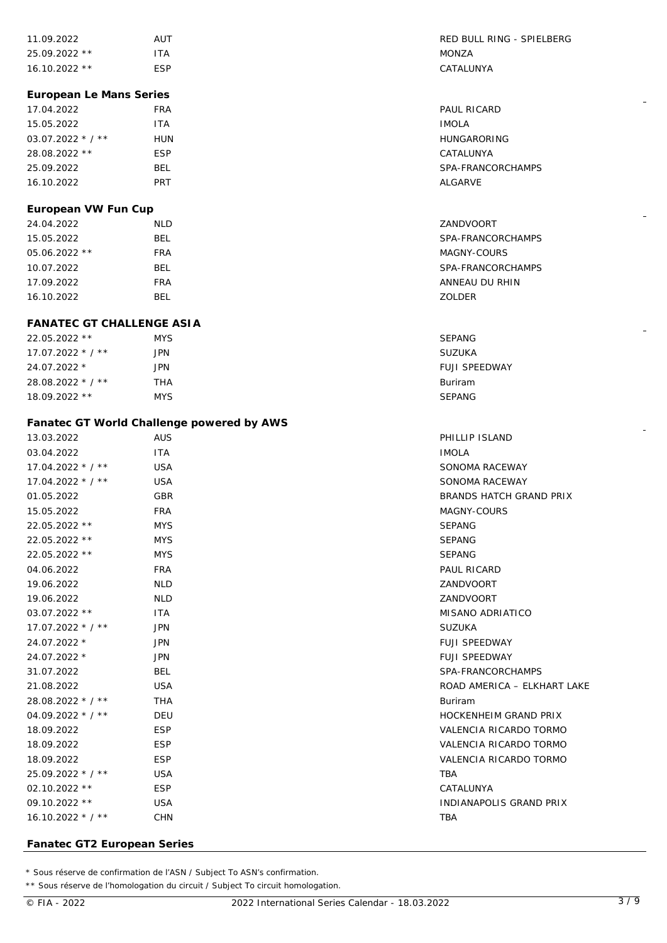| 11.09.2022      | AUT  | RED BULL        |
|-----------------|------|-----------------|
| $25.09.2022$ ** | ITA. | MONZA           |
| $16.10.2022$ ** | ESP  | <b>CATALUNY</b> |

### **European Le Mans Series**

| 17.04.2022         | FRA        | <b>PAUL RICAR</b> |
|--------------------|------------|-------------------|
| 15.05.2022         | <b>ITA</b> | <b>IMOLA</b>      |
| $03.07.2022 * 7 *$ | HUN        | HUNGARORI         |
| 28.08.2022 **      | <b>ESP</b> | CATALUNYA         |
| 25.09.2022         | BEL        | SPA-FRANCO        |
| 16.10.2022         | PRT        | ALGARVE           |

## **European VW Fun Cup**

## **FANATEC GT CHALLENGE ASIA**

| 22.05.2022 **      | <b>MYS</b> | <b>SEPANG</b>        |
|--------------------|------------|----------------------|
| $17.07.2022 * 7 *$ | JPN        | <b>SUZUKA</b>        |
| 24.07.2022 *       | JPN        | <b>FUJI SPEEDWAY</b> |
| 28.08.2022 * / **  | THA        | <b>Buriram</b>       |
| $18.09.2022$ **    | <b>MYS</b> | <b>SEPANG</b>        |

## **Fanatec GT World Challenge powered by AWS**

| 13.03.2022         | <b>AUS</b> | PHILLIP ISLAND                 |
|--------------------|------------|--------------------------------|
| 03.04.2022         | <b>ITA</b> | <b>IMOLA</b>                   |
| $17.04.2022 * 7 *$ | <b>USA</b> | SONOMA RACEWAY                 |
| $17.04.2022 * 7 *$ | <b>USA</b> | SONOMA RACEWAY                 |
| 01.05.2022         | <b>GBR</b> | BRANDS HATCH GRAND PRIX        |
| 15.05.2022         | <b>FRA</b> | MAGNY-COURS                    |
| 22.05.2022 **      | <b>MYS</b> | <b>SEPANG</b>                  |
| 22.05.2022 **      | <b>MYS</b> | <b>SEPANG</b>                  |
| 22.05.2022 **      | <b>MYS</b> | <b>SEPANG</b>                  |
| 04.06.2022         | <b>FRA</b> | <b>PAUL RICARD</b>             |
| 19.06.2022         | <b>NLD</b> | ZANDVOORT                      |
| 19.06.2022         | <b>NLD</b> | ZANDVOORT                      |
| 03.07.2022 **      | ITA.       | MISANO ADRIATICO               |
| $17.07.2022 * 7 *$ | <b>JPN</b> | <b>SUZUKA</b>                  |
| 24.07.2022 *       | <b>JPN</b> | <b>FUJI SPEEDWAY</b>           |
| 24.07.2022 *       | <b>JPN</b> | <b>FUJI SPEEDWAY</b>           |
| 31.07.2022         | <b>BEL</b> | SPA-FRANCORCHAMPS              |
| 21.08.2022         | <b>USA</b> | ROAD AMERICA - ELKHART LAKE    |
| 28.08.2022 * / **  | <b>THA</b> | Buriram                        |
| $04.09.2022 * 7 *$ | <b>DEU</b> | <b>HOCKENHEIM GRAND PRIX</b>   |
| 18.09.2022         | <b>ESP</b> | VALENCIA RICARDO TORMO         |
| 18.09.2022         | <b>ESP</b> | VALENCIA RICARDO TORMO         |
| 18.09.2022         | <b>ESP</b> | VALENCIA RICARDO TORMO         |
| 25.09.2022 * / **  | <b>USA</b> | <b>TBA</b>                     |
| $02.10.2022$ **    | <b>ESP</b> | CATALUNYA                      |
| 09.10.2022 **      | <b>USA</b> | <b>INDIANAPOLIS GRAND PRIX</b> |
| $16.10.2022 * 7 *$ | <b>CHN</b> | <b>TBA</b>                     |
|                    |            |                                |

## **Fanatec GT2 European Series**

\* Sous réserve de confirmation de l'ASN / Subject To ASN's confirmation.

\*\* Sous réserve de l'homologation du circuit / Subject To circuit homologation.

RED BULL RING - SPIELBERG CATALUNYA

PAUL RICARD HUNGARORING CATALUNYA SPA-FRANCORCHAMPS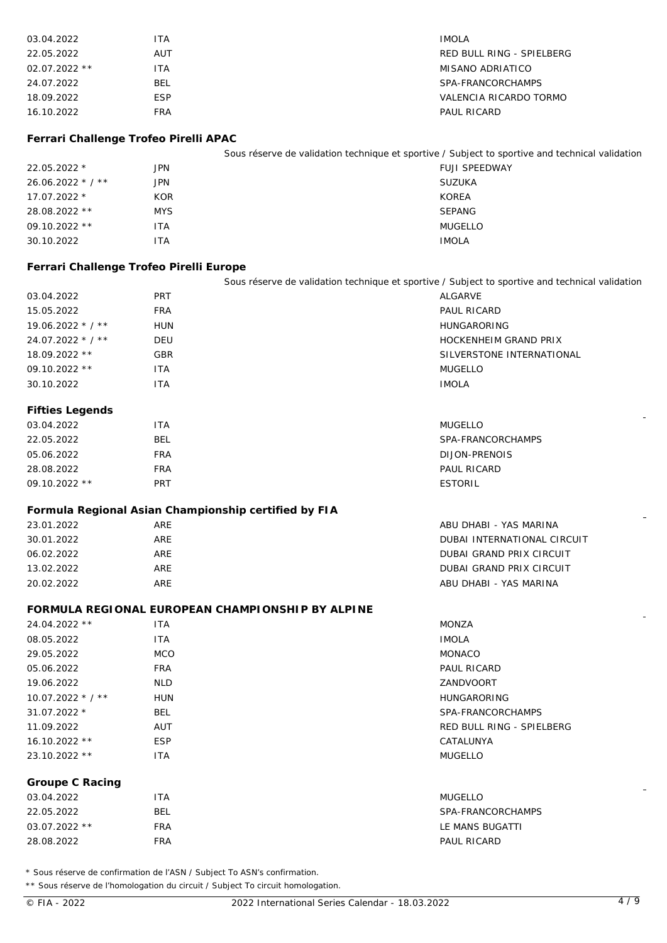| 03.04.2022                              | <b>ITA</b>                                                                                      | <b>IMOLA</b>                    |
|-----------------------------------------|-------------------------------------------------------------------------------------------------|---------------------------------|
| 22.05.2022                              | AUT                                                                                             | RED BULL RING - SPIELBERG       |
| 02.07.2022 **                           | <b>ITA</b>                                                                                      | <b>MISANO ADRIATICO</b>         |
| 24.07.2022                              | <b>BEL</b>                                                                                      | SPA-FRANCORCHAMPS               |
| 18.09.2022                              | <b>ESP</b>                                                                                      | VALENCIA RICARDO TORMO          |
| 16.10.2022                              | <b>FRA</b>                                                                                      | PAUL RICARD                     |
|                                         |                                                                                                 |                                 |
| Ferrari Challenge Trofeo Pirelli APAC   |                                                                                                 |                                 |
|                                         | Sous réserve de validation technique et sportive / Subject to sportive and technical validation |                                 |
| 22.05.2022 *                            | <b>JPN</b>                                                                                      | FUJI SPEEDWAY                   |
| 26.06.2022 * / **                       | <b>JPN</b>                                                                                      | <b>SUZUKA</b>                   |
| 17.07.2022 *                            | <b>KOR</b>                                                                                      | <b>KOREA</b>                    |
| 28.08.2022 **                           | <b>MYS</b>                                                                                      | <b>SEPANG</b>                   |
| 09.10.2022 **                           | <b>ITA</b>                                                                                      | <b>MUGELLO</b>                  |
| 30.10.2022                              | <b>ITA</b>                                                                                      | <b>IMOLA</b>                    |
|                                         |                                                                                                 |                                 |
| Ferrari Challenge Trofeo Pirelli Europe |                                                                                                 |                                 |
|                                         | Sous réserve de validation technique et sportive / Subject to sportive and technical validation |                                 |
| 03.04.2022                              | <b>PRT</b>                                                                                      | <b>ALGARVE</b>                  |
| 15.05.2022                              | <b>FRA</b>                                                                                      | PAUL RICARD                     |
| 19.06.2022 * / **                       | <b>HUN</b>                                                                                      | <b>HUNGARORING</b>              |
| 24.07.2022 * / **                       | <b>DEU</b>                                                                                      | HOCKENHEIM GRAND PRIX           |
| 18.09.2022 **                           | GBR                                                                                             | SILVERSTONE INTERNATIONAL       |
| 09.10.2022 **                           | <b>ITA</b>                                                                                      | <b>MUGELLO</b>                  |
| 30.10.2022                              | <b>ITA</b>                                                                                      | <b>IMOLA</b>                    |
| Fifties Legends                         |                                                                                                 |                                 |
| 03.04.2022                              | <b>ITA</b>                                                                                      | <b>MUGELLO</b>                  |
| 22.05.2022                              | <b>BEL</b>                                                                                      | SPA-FRANCORCHAMPS               |
| 05.06.2022                              | <b>FRA</b>                                                                                      | DIJON-PRENOIS                   |
| 28.08.2022                              | <b>FRA</b>                                                                                      | PAUL RICARD                     |
| 09.10.2022 **                           | PRT                                                                                             | <b>ESTORIL</b>                  |
|                                         | Formula Regional Asian Championship certified by FIA                                            |                                 |
| 23.01.2022                              | ARE                                                                                             | ABU DHABI - YAS MARINA          |
| 30.01.2022                              | ARE                                                                                             | DUBAI INTERNATIONAL CIRCUIT     |
| 06.02.2022                              | ARE                                                                                             | <b>DUBAI GRAND PRIX CIRCUIT</b> |
| 13.02.2022                              | ARE                                                                                             | DUBAI GRAND PRIX CIRCUIT        |
| 20.02.2022                              | ARE                                                                                             | ABU DHABI - YAS MARINA          |
|                                         |                                                                                                 |                                 |
|                                         | FORMULA REGIONAL EUROPEAN CHAMPIONSHIP BY ALPINE                                                |                                 |
| 24.04.2022 **                           | <b>ITA</b>                                                                                      | <b>MONZA</b>                    |
| 08.05.2022                              | ITA                                                                                             | <b>IMOLA</b>                    |
| 29.05.2022                              | <b>MCO</b>                                                                                      | <b>MONACO</b>                   |
| 05.06.2022                              | <b>FRA</b>                                                                                      | PAUL RICARD                     |
| 19.06.2022                              | <b>NLD</b>                                                                                      | ZANDVOORT                       |
| $10.07.2022 * / **$                     | <b>HUN</b>                                                                                      | <b>HUNGARORING</b>              |
| 31.07.2022 *                            | <b>BEL</b>                                                                                      | SPA-FRANCORCHAMPS               |
| 11.09.2022                              | AUT                                                                                             | RED BULL RING - SPIELBERG       |
| 16.10.2022 **                           | <b>ESP</b>                                                                                      | CATALUNYA                       |
| 23.10.2022 **                           | <b>ITA</b>                                                                                      | <b>MUGELLO</b>                  |
| Groupe C Racing                         |                                                                                                 |                                 |
| 03.04.2022                              | <b>ITA</b>                                                                                      | <b>MUGELLO</b>                  |
| 22.05.2022                              | <b>BEL</b>                                                                                      | SPA-FRANCORCHAMPS               |
| 03.07.2022 **                           | <b>FRA</b>                                                                                      | LE MANS BUGATTI                 |
| 28.08.2022                              | <b>FRA</b>                                                                                      | PAUL RICARD                     |
|                                         |                                                                                                 |                                 |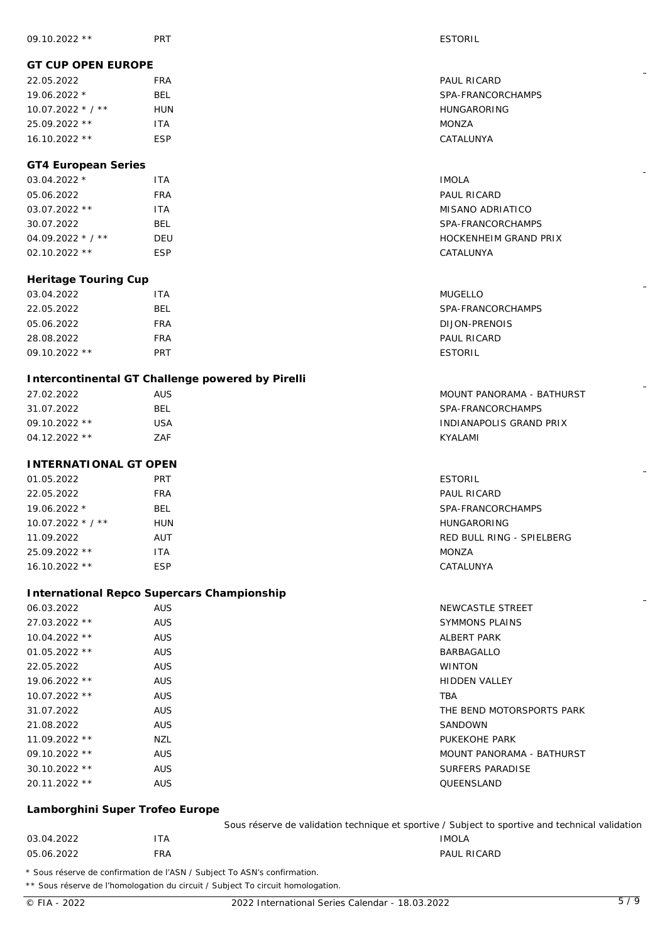## **GT CUP OPEN EUROPE**

|  | 22.05.2022         | <b>FRA</b> | PAUL RICARD        |
|--|--------------------|------------|--------------------|
|  | $19.06.2022*$      | BEL        | SPA-FRANCORCHAMPS  |
|  | $10.07.2022 * 7 *$ | HUN        | <b>HUNGARORING</b> |
|  | $25.09.2022$ **    | ۱TA        | MONZA              |
|  | $16.10.2022**$     | ESP        | CATALUNYA          |

# **GT4 European Series**

| $03.04.2022$ *      | <b>ITA</b> | <b>IMOLA</b>          |
|---------------------|------------|-----------------------|
| 05.06.2022          | <b>FRA</b> | PAUL RICARD           |
| 03.07.2022 **       | ITA        | MISANO ADRIATICO      |
| 30.07.2022          | BEL        | SPA-FRANCORCHAMPS     |
| $04.09.2022$ * / ** | DEU        | HOCKENHEIM GRAND PRIX |
| $02.10.2022$ **     | <b>ESP</b> | CATALUNYA             |

## **Heritage Touring Cup**

| 03.04.2022      | ITA        | MUGELLO           |
|-----------------|------------|-------------------|
| 22.05.2022      | BEL        | SPA-FRANCORCHAMPS |
| 05.06.2022      | FRA        | DIJON-PRENOIS     |
| 28.08.2022      | FRA        | PAUL RICARD       |
| $09.10.2022$ ** | <b>PRT</b> | <b>ESTORIL</b>    |

## **Intercontinental GT Challenge powered by Pirelli**

| 27.02.2022      | AUS. | MOUNT PANORAMA - BATHURST |
|-----------------|------|---------------------------|
| 31.07.2022      | BEL  | SPA-FRANCORCHAMPS         |
| $09.10.2022$ ** | USA  | INDIANAPOLIS GRAND PRIX   |
| $04.12.2022$ ** | ZAF  | KYALAMI                   |

# **INTERNATIONAL GT OPEN**

| 01.05.2022         | <b>PRT</b> | <b>ESTORIL</b>            |
|--------------------|------------|---------------------------|
| 22.05.2022         | <b>FRA</b> | PAUL RICARD               |
| $19.06.2022*$      | BEL.       | SPA-FRANCORCHAMPS         |
| $10.07.2022 * 7 *$ | <b>HUN</b> | <b>HUNGARORING</b>        |
| 11.09.2022         | <b>AUT</b> | RED BULL RING - SPIELBERG |
| $25.09.2022$ **    | ITA        | MONZA                     |
| $16.10.2022$ **    | <b>ESP</b> | CATALUNYA                 |

# **International Repco Supercars Championship**

| 06.03.2022      | <b>AUS</b> | NEWCASTLE STREET          |
|-----------------|------------|---------------------------|
| $27.03.2022$ ** | <b>AUS</b> | <b>SYMMONS PLAINS</b>     |
| 10.04.2022 **   | <b>AUS</b> | ALBERT PARK               |
| $01.05.2022$ ** | <b>AUS</b> | <b>BARBAGALLO</b>         |
| 22.05.2022      | <b>AUS</b> | <b>WINTON</b>             |
| $19.06.2022$ ** | <b>AUS</b> | <b>HIDDEN VALLEY</b>      |
| $10.07.2022$ ** | <b>AUS</b> | <b>TBA</b>                |
| 31.07.2022      | <b>AUS</b> | THE BEND MOTORSPORTS PARK |
| 21.08.2022      | <b>AUS</b> | SANDOWN                   |
| $11.09.2022$ ** | NZL        | PUKEKOHE PARK             |
| $09.10.2022$ ** | <b>AUS</b> | MOUNT PANORAMA - BATHURST |
| $30.10.2022$ ** | <b>AUS</b> | SURFERS PARADISE          |
| $20.11.2022$ ** | <b>AUS</b> | QUEENSLAND                |
|                 |            |                           |

## **Lamborghini Super Trofeo Europe**

| Sous réserve de validation technique et sportive / Subject to sportive and technical validation |  |
|-------------------------------------------------------------------------------------------------|--|
|-------------------------------------------------------------------------------------------------|--|

PAUL RICARD

| 03.04.2022    |                   | 'TA        | <b>IMOLA</b>     |
|---------------|-------------------|------------|------------------|
| 05.06.2022    |                   | <b>FRA</b> | <b>PAUL RICA</b> |
| $\sim$ $\sim$ | <b>CONTRACTOR</b> | $-$<br>.   |                  |

\* Sous réserve de confirmation de l'ASN / Subject To ASN's confirmation.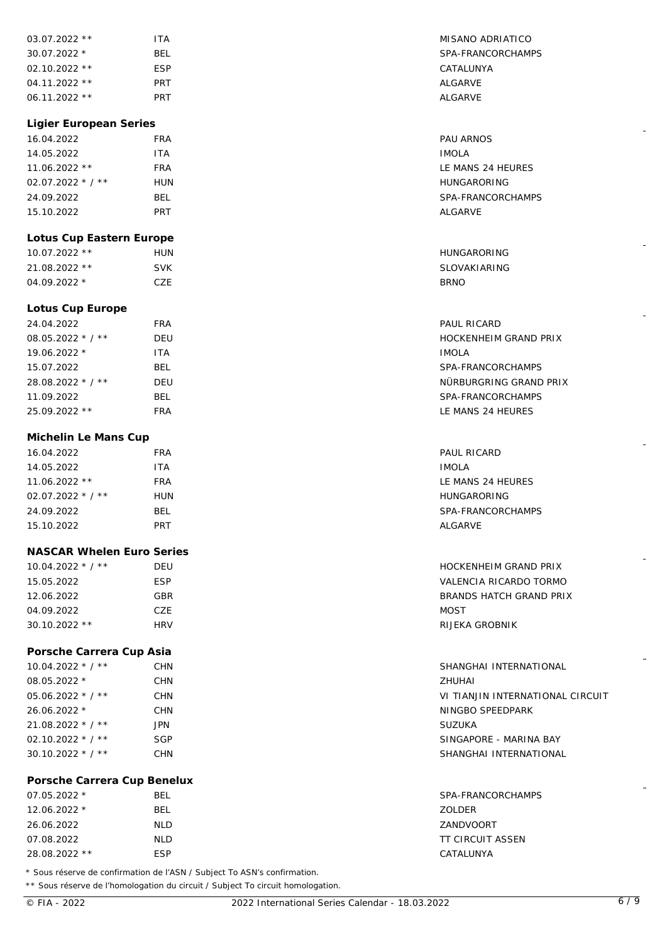| 03.07.2022 **               | <b>ITA</b> | MISANO ADRIATICO                 |
|-----------------------------|------------|----------------------------------|
| 30.07.2022 *                | <b>BEL</b> | SPA-FRANCORCHAMPS                |
| 02.10.2022 **               | <b>ESP</b> | CATALUNYA                        |
| 04.11.2022 **               | <b>PRT</b> | <b>ALGARVE</b>                   |
| 06.11.2022 **               | <b>PRT</b> | ALGARVE                          |
|                             |            |                                  |
| Ligier European Series      |            |                                  |
| 16.04.2022                  | <b>FRA</b> | <b>PAU ARNOS</b>                 |
| 14.05.2022                  | <b>ITA</b> | <b>IMOLA</b>                     |
| 11.06.2022 **               | <b>FRA</b> | LE MANS 24 HEURES                |
| $02.07.2022$ * / **         | <b>HUN</b> | HUNGARORING                      |
| 24.09.2022                  | <b>BEL</b> | SPA-FRANCORCHAMPS                |
| 15.10.2022                  | <b>PRT</b> | ALGARVE                          |
|                             |            |                                  |
| Lotus Cup Eastern Europe    |            |                                  |
| 10.07.2022 **               | <b>HUN</b> | <b>HUNGARORING</b>               |
| 21.08.2022 **               | <b>SVK</b> | <b>SLOVAKIARING</b>              |
| 04.09.2022 *                | CZE        | <b>BRNO</b>                      |
|                             |            |                                  |
| Lotus Cup Europe            |            |                                  |
| 24.04.2022                  | <b>FRA</b> | PAUL RICARD                      |
| 08.05.2022 * / **           | DEU        | HOCKENHEIM GRAND PRIX            |
| 19.06.2022 *                | <b>ITA</b> | <b>IMOLA</b>                     |
| 15.07.2022                  | <b>BEL</b> | SPA-FRANCORCHAMPS                |
| 28.08.2022 * / **           | DEU        | NÜRBURGRING GRAND PRIX           |
| 11.09.2022                  | BEL        | SPA-FRANCORCHAMPS                |
| 25.09.2022 **               | <b>FRA</b> | LE MANS 24 HEURES                |
|                             |            |                                  |
| Michelin Le Mans Cup        |            |                                  |
| 16.04.2022                  | <b>FRA</b> | PAUL RICARD                      |
| 14.05.2022                  | <b>ITA</b> | <b>IMOLA</b>                     |
| 11.06.2022 **               | <b>FRA</b> | LE MANS 24 HEURES                |
| 02.07.2022 $*/**$           | <b>HUN</b> | <b>HUNGARORING</b>               |
| 24.09.2022                  | BEL        | SPA-FRANCORCHAMPS                |
| 15.10.2022                  | <b>PRT</b> | ALGARVE                          |
| NASCAR Whelen Euro Series   |            |                                  |
| $10.04.2022 * 7 *$          | DEU        | HOCKENHEIM GRAND PRIX            |
| 15.05.2022                  | <b>ESP</b> | VALENCIA RICARDO TORMO           |
| 12.06.2022                  | GBR        | BRANDS HATCH GRAND PRIX          |
| 04.09.2022                  | CZE        | <b>MOST</b>                      |
|                             |            | RIJEKA GROBNIK                   |
| 30.10.2022 **               | <b>HRV</b> |                                  |
| Porsche Carrera Cup Asia    |            |                                  |
| 10.04.2022 * / **           | <b>CHN</b> | SHANGHAI INTERNATIONAL           |
| 08.05.2022 *                | <b>CHN</b> | ZHUHAI                           |
| $05.06.2022 * 7 *$          | <b>CHN</b> | VI TIANJIN INTERNATIONAL CIRCUIT |
| 26.06.2022 *                | <b>CHN</b> | NINGBO SPEEDPARK                 |
| 21.08.2022 * / **           | <b>JPN</b> | <b>SUZUKA</b>                    |
| 02.10.2022 $*$ / $**$       | <b>SGP</b> | SINGAPORE - MARINA BAY           |
| 30.10.2022 * / **           | <b>CHN</b> | SHANGHAI INTERNATIONAL           |
|                             |            |                                  |
| Porsche Carrera Cup Benelux |            |                                  |
| 07.05.2022 *                | BEL        | SPA-FRANCORCHAMPS                |
| 12.06.2022 *                | <b>BEL</b> | ZOLDER                           |
| 26.06.2022                  | <b>NLD</b> | ZANDVOORT                        |
| 07.08.2022                  | <b>NLD</b> | <b>TT CIRCUIT ASSEN</b>          |

\*\* Sous réserve de l'homologation du circuit / Subject To circuit homologation.

28.08.2022 \*\* ESP CATALUNYA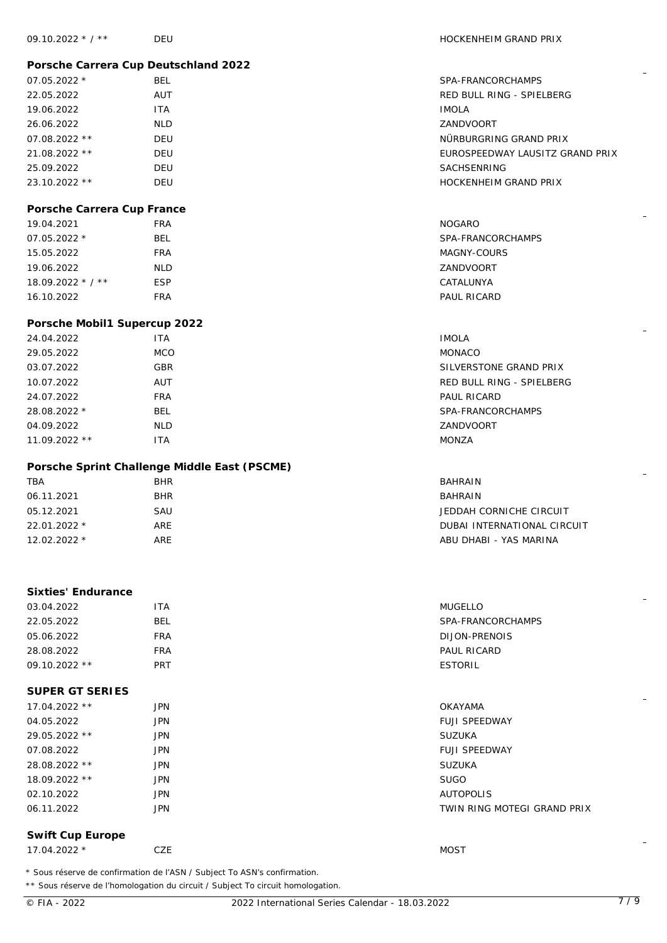## **Porsche Carrera Cup Deutschland 2022**

| $07.05.2022*$   | <b>BEL</b> | SPA-FRAN        |
|-----------------|------------|-----------------|
| 22.05.2022      | AUT        | <b>RED BULL</b> |
| 19.06.2022      | <b>ITA</b> | <b>IMOLA</b>    |
| 26.06.2022      | NLD.       | ZANDVOC         |
| $07.08.2022$ ** | DEU        | NÜRBURG         |
| 21.08.2022 **   | <b>DEU</b> | <b>EUROSPEI</b> |
| 25.09.2022      | <b>DEU</b> | <b>SACHSEN</b>  |
| 23.10.2022 **   | DEU        | <b>HOCKENH</b>  |

### **Porsche Carrera Cup France**

| 19.04.2021         | <b>FRA</b> | NOGARO            |
|--------------------|------------|-------------------|
| $07.05.2022*$      | BEL        | SPA-FRANCORCHAMPS |
| 15.05.2022         | <b>FRA</b> | MAGNY-COURS       |
| 19.06.2022         | <b>NLD</b> | ZANDVOORT         |
| $18.09.2022 * 7 *$ | <b>ESP</b> | CATALUNYA         |
| 16.10.2022         | <b>FRA</b> | PAUL RICARD       |

#### **Porsche Mobil1 Supercup 2022**

| 24.04.2022     | <b>ITA</b> | <b>IMOLA</b>              |
|----------------|------------|---------------------------|
| 29.05.2022     | <b>MCO</b> | <b>MONACO</b>             |
| 03.07.2022     | <b>GBR</b> | SILVERSTONE GRAND PRIX    |
| 10.07.2022     | AUT        | RED BULL RING - SPIELBERG |
| 24.07.2022     | <b>FRA</b> | PAUL RICARD               |
| 28.08.2022 *   | <b>BEL</b> | SPA-FRANCORCHAMPS         |
| 04.09.2022     | <b>NLD</b> | ZANDVOORT                 |
| $11.09.2022**$ | ITA        | MONZA                     |
|                |            |                           |

# **Porsche Sprint Challenge Middle East (PSCME)**

| <b>TBA</b>    | <b>BHR</b> | <b>BAHRAIN</b>              |
|---------------|------------|-----------------------------|
| 06.11.2021    | <b>BHR</b> | BAHRAIN                     |
| 05.12.2021    | SAU        | JEDDAH CORNICHE CIRCUIT     |
| 22.01.2022 *  | ARE        | DUBAL INTERNATIONAL CIRCUIT |
| $12.02.2022*$ | ARE        | ABU DHABI - YAS MARINA      |
|               |            |                             |

## **Sixties' Endurance**

| 03.04.2022      | ITA        | $-$<br>MUGELLO    |
|-----------------|------------|-------------------|
| 22.05.2022      | BEL        | SPA-FRANCORCHAMPS |
| 05.06.2022      | <b>FRA</b> | DIJON-PRENOIS     |
| 28.08.2022      | <b>FRA</b> | PAUL RICARD       |
| $09.10.2022$ ** | <b>PRT</b> | ESTORIL           |
|                 |            |                   |

# **SUPER GT SERIES**

| 17.04.2022 ** | <b>JPN</b> | OKAYAMA                     |
|---------------|------------|-----------------------------|
| 04.05.2022    | <b>JPN</b> | <b>FUJI SPEEDWAY</b>        |
| 29.05.2022 ** | <b>JPN</b> | <b>SUZUKA</b>               |
| 07.08.2022    | <b>JPN</b> | <b>FUJI SPEEDWAY</b>        |
| 28.08.2022 ** | <b>JPN</b> | <b>SUZUKA</b>               |
| 18.09.2022 ** | <b>JPN</b> | <b>SUGO</b>                 |
| 02.10.2022    | <b>JPN</b> | <b>AUTOPOLIS</b>            |
| 06.11.2022    | <b>JPN</b> | TWIN RING MOTEGI GRAND PRIX |
|               |            |                             |

#### **Swift Cup Europe**

17.04.2022 \* CZE MOST

\* Sous réserve de confirmation de l'ASN / Subject To ASN's confirmation.

\*\* Sous réserve de l'homologation du circuit / Subject To circuit homologation.

NÜRBURGRING GRAND PRIX

HOCKENHEIM GRAND PRIX

EUROSPEEDWAY LAUSITZ GRAND PRIX

SPA-FRANCORCHAMPS RED BULL RING - SPIELBERG

ZANDVOORT

SACHSENRING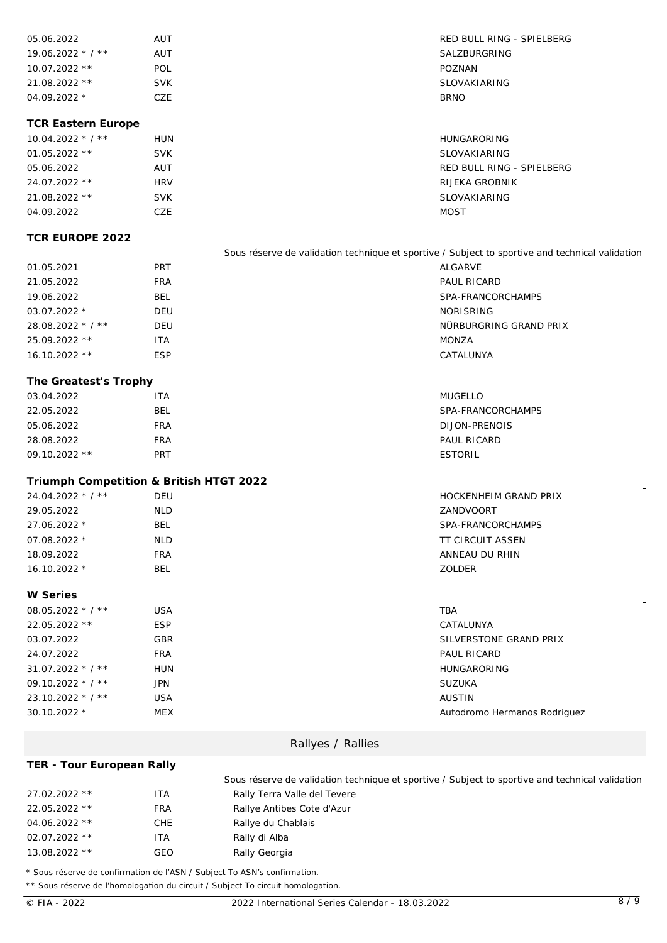| 05.06.2022         | AUT        | RED BULL RING - SPIELBERG |
|--------------------|------------|---------------------------|
| $19.06.2022 * 7 *$ | AUT        | SALZBURGRING              |
| $10.07.2022$ **    | POL        | POZNAN                    |
| $21.08.2022$ **    | <b>SVK</b> | SLOVAKIARING              |
| $04.09.2022*$      | CZE.       | <b>BRNO</b>               |

#### **TCR Eastern Europe**

| $10.04.2022$ * / ** | <b>HUN</b> | <b>HUNGARORING</b>        |
|---------------------|------------|---------------------------|
| $01.05.2022$ **     | <b>SVK</b> | SLOVAKIARING              |
| 05.06.2022          | AUT        | RED BULL RING - SPIELBERG |
| 24.07.2022 **       | <b>HRV</b> | RIJEKA GROBNIK            |
| $21.08.2022$ **     | <b>SVK</b> | <b>SLOVAKIARING</b>       |
| 04.09.2022          | CZE        | <b>MOST</b>               |

### **TCR EUROPE 2022**

Sous réserve de validation technique et sportive / Subject to sportive and technical validation 01.05.2021 PRT ALGARVE 21.05.2022 FRA PAUL RICARD 19.06.2022 BEL BEL SPA-FRANCORCHAMPS 03.07.2022 \* DEU NORISRING 28.08.2022 \* / \*\* DEU NÜRBURGRING GRAND PRIX 25.09.2022 \*\* ITA MONZA 16.10.2022 \*\* ESP CATALUNYA

### **The Greatest's Trophy**

| 03.04.2022      | 'TA        | <b>MUGELLO</b>     |
|-----------------|------------|--------------------|
| 22.05.2022      | <b>BEL</b> | SPA-FRANCORCHAMPS  |
| 05.06.2022      | FRA        | DIJON-PRENOIS      |
| 28.08.2022      | FRA        | <b>PAUL RICARD</b> |
| $09.10.2022$ ** | PRT        | ESTORIL            |

#### **Triumph Competition & British HTGT 2022**

| $24.04.2022 * 7 *$ | DEU        | HOCKENHEIM GRAND PRIX |
|--------------------|------------|-----------------------|
| 29.05.2022         | NLD        | ZANDVOORT             |
| 27.06.2022 *       | <b>BEL</b> | SPA-FRANCORCHAMPS     |
| $07.08.2022*$      | <b>NLD</b> | TT CIRCUIT ASSEN      |
| 18.09.2022         | FRA        | ANNEAU DU RHIN        |
| $16.10.2022*$      | BEL        | ZOLDER                |

#### **W Series**

| $08.05.2022 * 7 *$ | <b>USA</b> | <b>TBA</b>                   |
|--------------------|------------|------------------------------|
| 22.05.2022 **      | <b>ESP</b> | CATALUNYA                    |
| 03.07.2022         | <b>GBR</b> | SILVERSTONE GRAND PRIX       |
| 24.07.2022         | <b>FRA</b> | PAUL RICARD                  |
| $31.07.2022 * 7 *$ | <b>HUN</b> | <b>HUNGARORING</b>           |
| $09.10.2022 * 7 *$ | <b>JPN</b> | <b>SUZUKA</b>                |
| $23.10.2022 * 7 *$ | <b>USA</b> | <b>AUSTIN</b>                |
| $30.10.2022*$      | <b>MEX</b> | Autodromo Hermanos Rodriguez |

#### Rallyes / Rallies

**TER - Tour European Rally**

Sous réserve de validation technique et sportive / Subject to sportive and technical validation 27.02.2022 \*\* ITA Rally Terra Valle del Tevere 22.05.2022 \*\* FRA Rallye Antibes Cote d'Azur 04.06.2022 \*\* CHE Rallye du Chablais 02.07.2022 \*\* ITA Rally di Alba 13.08.2022 \*\* GEO Rally Georgia

\* Sous réserve de confirmation de l'ASN / Subject To ASN's confirmation.